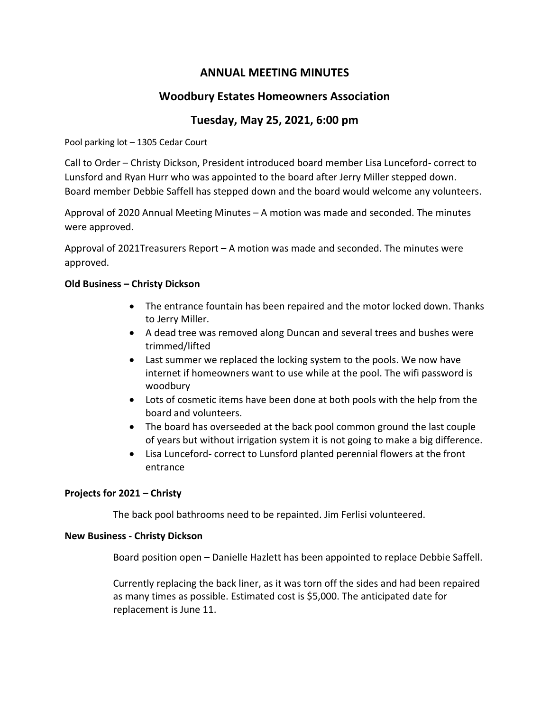## ANNUAL MEETING MINUTES

# Woodbury Estates Homeowners Association

## Tuesday, May 25, 2021, 6:00 pm

Pool parking lot – 1305 Cedar Court

Call to Order – Christy Dickson, President introduced board member Lisa Lunceford- correct to Lunsford and Ryan Hurr who was appointed to the board after Jerry Miller stepped down. Board member Debbie Saffell has stepped down and the board would welcome any volunteers.

Approval of 2020 Annual Meeting Minutes – A motion was made and seconded. The minutes were approved.

Approval of 2021Treasurers Report – A motion was made and seconded. The minutes were approved.

## Old Business – Christy Dickson

- The entrance fountain has been repaired and the motor locked down. Thanks to Jerry Miller.
- A dead tree was removed along Duncan and several trees and bushes were trimmed/lifted
- Last summer we replaced the locking system to the pools. We now have internet if homeowners want to use while at the pool. The wifi password is woodbury
- Lots of cosmetic items have been done at both pools with the help from the board and volunteers.
- The board has overseeded at the back pool common ground the last couple of years but without irrigation system it is not going to make a big difference.
- Lisa Lunceford- correct to Lunsford planted perennial flowers at the front entrance

## Projects for 2021 – Christy

The back pool bathrooms need to be repainted. Jim Ferlisi volunteered.

#### New Business - Christy Dickson

Board position open – Danielle Hazlett has been appointed to replace Debbie Saffell.

Currently replacing the back liner, as it was torn off the sides and had been repaired as many times as possible. Estimated cost is \$5,000. The anticipated date for replacement is June 11.